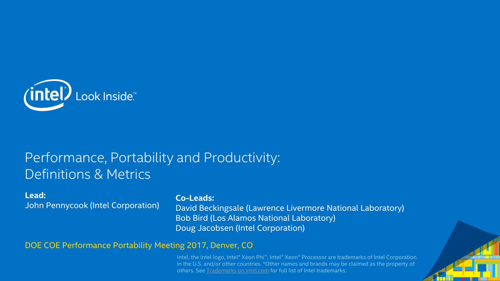

### Performance, Portability and Productivity: Definitions & Metrics

#### **Lead:**

John Pennycook (Intel Corporation)

#### **Co-Leads:**

David Beckingsale (Lawrence Livermore National Laboratory) Bob Bird (Los Alamos National Laboratory) Doug Jacobsen (Intel Corporation)

DOE COE Performance Portability Meeting 2017, Denver, CO

Intel, the Intel logo, Intel® Xeon Phi™, Intel® Xeon® Processor are trademarks of Intel Corporation in the U.S. and/or other countries. \*Other names and brands may be claimed as the property of others. See [Trademarks on intel.com](http://www.intel.com/sites/corporate/tradmarx.htm) for full list of Intel trademarks.

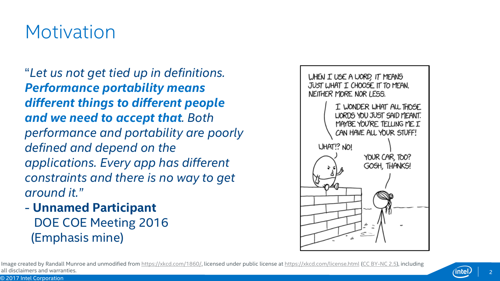## **Motivation**

"*Let us not get tied up in definitions. Performance portability means different things to different people and we need to accept that. Both performance and portability are poorly defined and depend on the applications. Every app has different constraints and there is no way to get around it."*

- **Unnamed Participant** DOE COE Meeting 2016 (Emphasis mine)



Image created by Randall Munroe and unmodified from <https://xkcd.com/1860/>, licensed under public license at <https://xkcd.com/license.html> [\(CC BY-NC 2.5](https://creativecommons.org/licenses/by-nc/2.5/)), including all disclaimers and warranties.

© 2017 Intel Corporation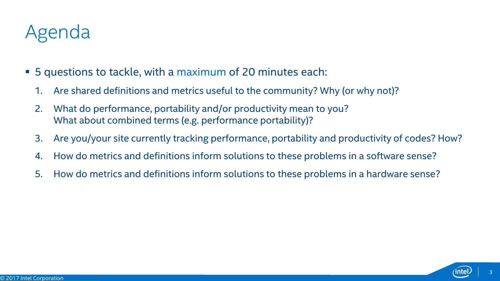# Agenda

- 5 questions to tackle, with a maximum of 20 minutes each:
	- 1. Are shared definitions and metrics useful to the community? Why (or why not)?
	- 2. What do performance, portability and/or productivity mean to you? What about combined terms (e.g. performance portability)?
	- 3. Are you/your site currently tracking performance, portability and productivity of codes? How?
	- 4. How do metrics and definitions inform solutions to these problems in a software sense?
	- 5. How do metrics and definitions inform solutions to these problems in a hardware sense?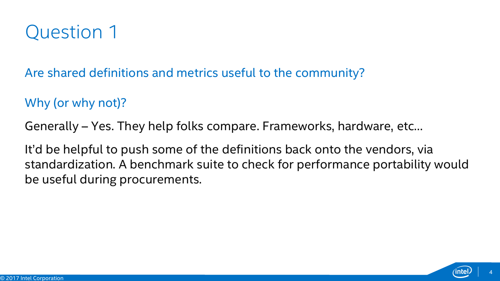## Question 1

Are shared definitions and metrics useful to the community?

Why (or why not)?

Generally – Yes. They help folks compare. Frameworks, hardware, etc…

It'd be helpful to push some of the definitions back onto the vendors, via standardization. A benchmark suite to check for performance portability would be useful during procurements.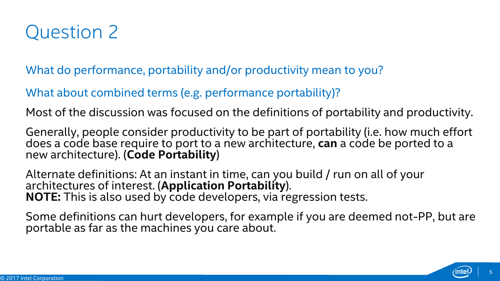

What do performance, portability and/or productivity mean to you?

What about combined terms (e.g. performance portability)?

Most of the discussion was focused on the definitions of portability and productivity.

Generally, people consider productivity to be part of portability (i.e. how much effort does a code base require to port to a new architecture, **can** a code be ported to a new architecture). (**Code Portability**)

Alternate definitions: At an instant in time, can you build / run on all of your architectures of interest. (**Application Portability**). **NOTE:** This is also used by code developers, via regression tests.

Some definitions can hurt developers, for example if you are deemed not-PP, but are portable as far as the machines you care about.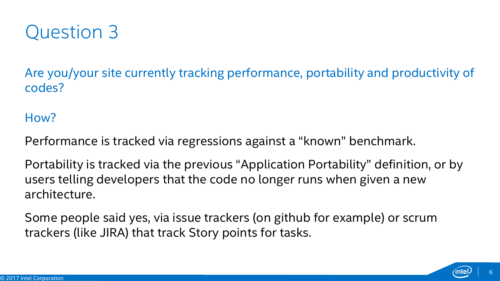

Are you/your site currently tracking performance, portability and productivity of codes?

### How?

Performance is tracked via regressions against a "known" benchmark.

Portability is tracked via the previous "Application Portability" definition, or by users telling developers that the code no longer runs when given a new architecture.

Some people said yes, via issue trackers (on github for example) or scrum trackers (like JIRA) that track Story points for tasks.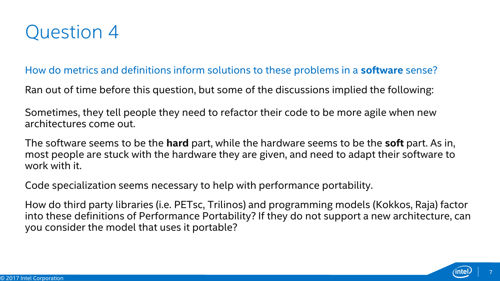

#### How do metrics and definitions inform solutions to these problems in a **software** sense?

Ran out of time before this question, but some of the discussions implied the following:

Sometimes, they tell people they need to refactor their code to be more agile when new architectures come out.

The software seems to be the **hard** part, while the hardware seems to be the **soft** part. As in, most people are stuck with the hardware they are given, and need to adapt their software to work with it.

Code specialization seems necessary to help with performance portability.

How do third party libraries (i.e. PETsc, Trilinos) and programming models (Kokkos, Raja) factor into these definitions of Performance Portability? If they do not support a new architecture, can you consider the model that uses it portable?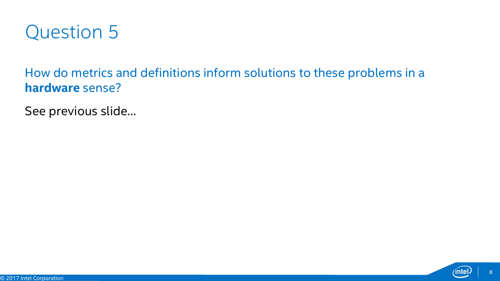

How do metrics and definitions inform solutions to these problems in a **hardware** sense?

See previous slide…

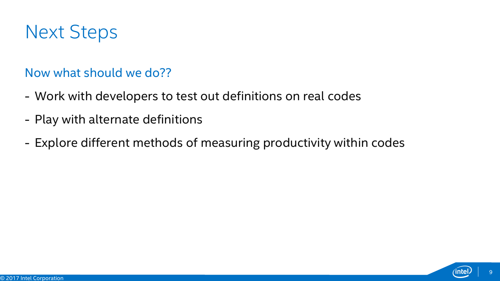

### Now what should we do??

- Work with developers to test out definitions on real codes
- Play with alternate definitions
- Explore different methods of measuring productivity within codes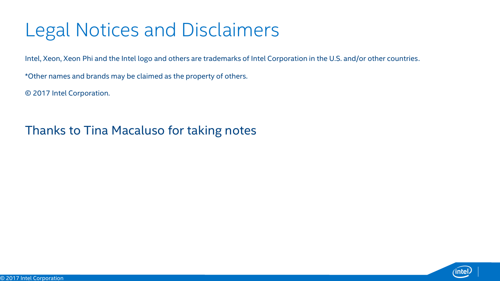# Legal Notices and Disclaimers

Intel, Xeon, Xeon Phi and the Intel logo and others are trademarks of Intel Corporation in the U.S. and/or other countries.

\*Other names and brands may be claimed as the property of others.

© 2017 Intel Corporation.

Thanks to Tina Macaluso for taking notes